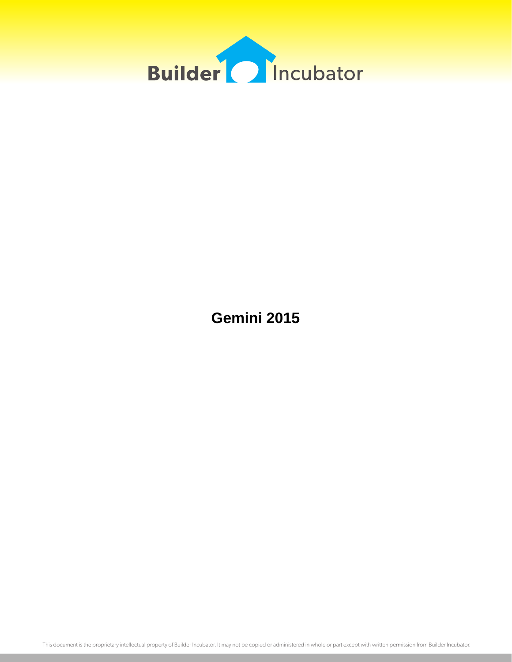

**Gemini 2015**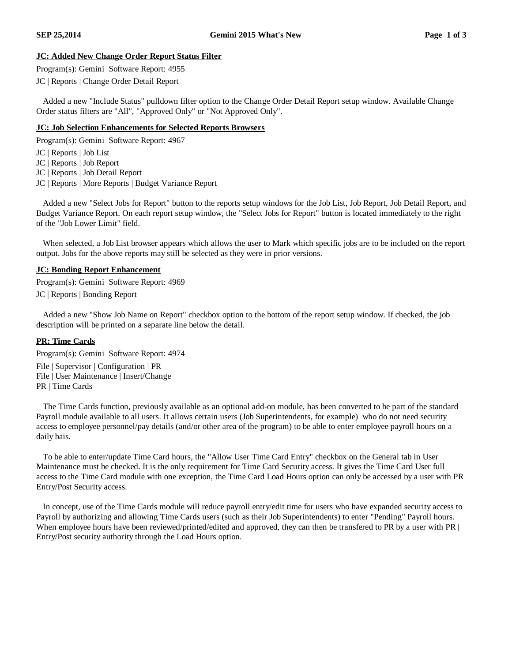### **JC: Added New Change Order Report Status Filter**

Program(s): Gemini Software Report: 4955

JC | Reports | Change Order Detail Report

Added a new "Include Status" pulldown filter option to the Change Order Detail Report setup window. Available Change Order status filters are "All", "Approved Only" or "Not Approved Only".

#### **JC: Job Selection Enhancements for Selected Reports Browsers**

Program(s): Gemini Software Report: 4967

- JC | Reports | Job List
- JC | Reports | Job Report
- JC | Reports | Job Detail Report
- JC | Reports | More Reports | Budget Variance Report

Added a new "Select Jobs for Report" button to the reports setup windows for the Job List, Job Report, Job Detail Report, and Budget Variance Report. On each report setup window, the "Select Jobs for Report" button is located immediately to the right of the "Job Lower Limit" field.

When selected, a Job List browser appears which allows the user to Mark which specific jobs are to be included on the report output. Jobs for the above reports may still be selected as they were in prior versions.

#### **JC: Bonding Report Enhancement**

Program(s): Gemini Software Report: 4969 JC | Reports | Bonding Report

Added a new "Show Job Name on Report" checkbox option to the bottom of the report setup window. If checked, the job description will be printed on a separate line below the detail.

### **PR: Time Cards**

Program(s): Gemini Software Report: 4974 File | Supervisor | Configuration | PR File | User Maintenance | Insert/Change PR | Time Cards

The Time Cards function, previously available as an optional add-on module, has been converted to be part of the standard Payroll module available to all users. It allows certain users (Job Superintendents, for example) who do not need security access to employee personnel/pay details (and/or other area of the program) to be able to enter employee payroll hours on a daily bais.

To be able to enter/update Time Card hours, the "Allow User Time Card Entry" checkbox on the General tab in User Maintenance must be checked. It is the only requirement for Time Card Security access. It gives the Time Card User full access to the Time Card module with one exception, the Time Card Load Hours option can only be accessed by a user with PR Entry/Post Security access.

In concept, use of the Time Cards module will reduce payroll entry/edit time for users who have expanded security access to Payroll by authorizing and allowing Time Cards users (such as their Job Superintendents) to enter "Pending" Payroll hours. When employee hours have been reviewed/printed/edited and approved, they can then be transfered to PR by a user with PR  $\vert$ Entry/Post security authority through the Load Hours option.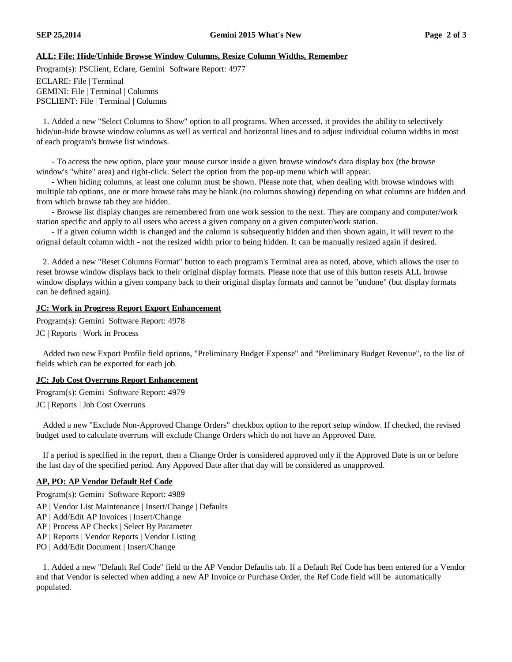## **ALL: File: Hide/Unhide Browse Window Columns, Resize Column Widths, Remember**

Program(s): PSClient, Eclare, Gemini Software Report: 4977

ECLARE: File | Terminal GEMINI: File | Terminal | Columns PSCLIENT: File | Terminal | Columns

1. Added a new "Select Columns to Show" option to all programs. When accessed, it provides the ability to selectively hide/un-hide browse window columns as well as vertical and horizontal lines and to adjust individual column widths in most of each program's browse list windows.

- To access the new option, place your mouse cursor inside a given browse window's data display box (the browse window's "white" area) and right-click. Select the option from the pop-up menu which will appear.

- When hiding columns, at least one column must be shown. Please note that, when dealing with browse windows with multiple tab options, one or more browse tabs may be blank (no columns showing) depending on what columns are hidden and from which browse tab they are hidden.

- Browse list display changes are remembered from one work session to the next. They are company and computer/work station specific and apply to all users who access a given company on a given computer/work station.

- If a given column width is changed and the column is subsequently hidden and then shown again, it will revert to the orignal default column width - not the resized width prior to being hidden. It can be manually resized again if desired.

2. Added a new "Reset Columns Format" button to each program's Terminal area as noted, above, which allows the user to reset browse window displays back to their original display formats. Please note that use of this button resets ALL browse window displays within a given company back to their original display formats and cannot be "undone" (but display formats can be defined again).

# **JC: Work in Progress Report Export Enhancement**

Program(s): Gemini Software Report: 4978

JC | Reports | Work in Process

Added two new Export Profile field options, "Preliminary Budget Expense" and "Preliminary Budget Revenue", to the list of fields which can be exported for each job.

### **JC: Job Cost Overruns Report Enhancement**

Program(s): Gemini Software Report: 4979 JC | Reports | Job Cost Overruns

Added a new "Exclude Non-Approved Change Orders" checkbox option to the report setup window. If checked, the revised budget used to calculate overruns will exclude Change Orders which do not have an Approved Date.

If a period is specified in the report, then a Change Order is considered approved only if the Approved Date is on or before the last day of the specified period. Any Appoved Date after that day will be considered as unapproved.

### **AP, PO: AP Vendor Default Ref Code**

Program(s): Gemini Software Report: 4989

- AP | Vendor List Maintenance | Insert/Change | Defaults
- AP | Add/Edit AP Invoices | Insert/Change
- AP | Process AP Checks | Select By Parameter
- AP | Reports | Vendor Reports | Vendor Listing
- PO | Add/Edit Document | Insert/Change

1. Added a new "Default Ref Code" field to the AP Vendor Defaults tab. If a Default Ref Code has been entered for a Vendor and that Vendor is selected when adding a new AP Invoice or Purchase Order, the Ref Code field will be automatically populated.